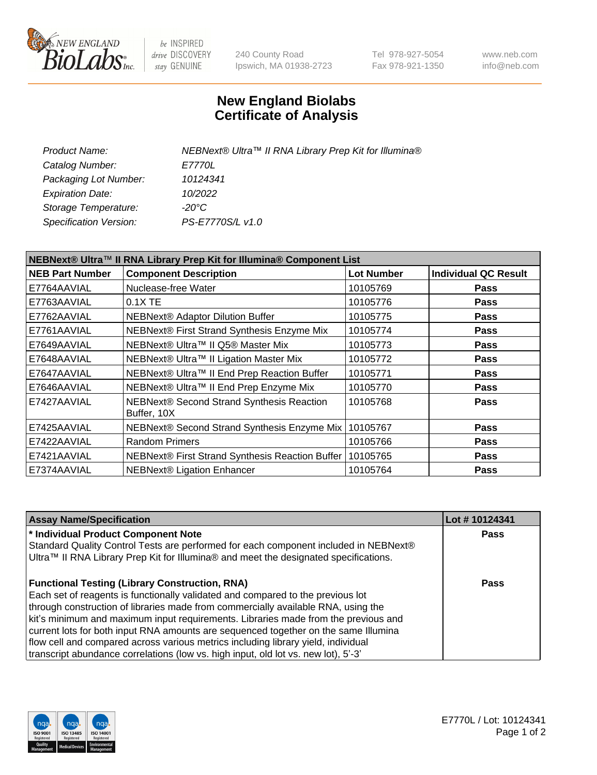

be INSPIRED drive DISCOVERY stay GENUINE

240 County Road Ipswich, MA 01938-2723 Tel 978-927-5054 Fax 978-921-1350 www.neb.com info@neb.com

## **New England Biolabs Certificate of Analysis**

| Product Name:           | NEBNext® Ultra™ II RNA Library Prep Kit for Illumina® |
|-------------------------|-------------------------------------------------------|
| Catalog Number:         | <i>E7770L</i>                                         |
| Packaging Lot Number:   | 10124341                                              |
| <b>Expiration Date:</b> | 10/2022                                               |
| Storage Temperature:    | -20°C                                                 |
| Specification Version:  | PS-E7770S/L v1.0                                      |
|                         |                                                       |

| NEBNext® Ultra™ II RNA Library Prep Kit for Illumina® Component List |                                                            |                   |                             |  |  |
|----------------------------------------------------------------------|------------------------------------------------------------|-------------------|-----------------------------|--|--|
| <b>NEB Part Number</b>                                               | <b>Component Description</b>                               | <b>Lot Number</b> | <b>Individual QC Result</b> |  |  |
| E7764AAVIAL                                                          | Nuclease-free Water                                        | 10105769          | <b>Pass</b>                 |  |  |
| E7763AAVIAL                                                          | 0.1X TE                                                    | 10105776          | <b>Pass</b>                 |  |  |
| E7762AAVIAL                                                          | NEBNext® Adaptor Dilution Buffer                           | 10105775          | <b>Pass</b>                 |  |  |
| E7761AAVIAL                                                          | NEBNext® First Strand Synthesis Enzyme Mix                 | 10105774          | <b>Pass</b>                 |  |  |
| E7649AAVIAL                                                          | NEBNext® Ultra™ II Q5® Master Mix                          | 10105773          | <b>Pass</b>                 |  |  |
| E7648AAVIAL                                                          | NEBNext® Ultra™ II Ligation Master Mix                     | 10105772          | <b>Pass</b>                 |  |  |
| E7647AAVIAL                                                          | NEBNext® Ultra™ II End Prep Reaction Buffer                | 10105771          | <b>Pass</b>                 |  |  |
| E7646AAVIAL                                                          | NEBNext® Ultra™ II End Prep Enzyme Mix                     | 10105770          | <b>Pass</b>                 |  |  |
| E7427AAVIAL                                                          | NEBNext® Second Strand Synthesis Reaction<br>Buffer, 10X   | 10105768          | <b>Pass</b>                 |  |  |
| E7425AAVIAL                                                          | NEBNext® Second Strand Synthesis Enzyme Mix                | 10105767          | <b>Pass</b>                 |  |  |
| E7422AAVIAL                                                          | <b>Random Primers</b>                                      | 10105766          | <b>Pass</b>                 |  |  |
| E7421AAVIAL                                                          | NEBNext® First Strand Synthesis Reaction Buffer   10105765 |                   | <b>Pass</b>                 |  |  |
| E7374AAVIAL                                                          | <b>NEBNext® Ligation Enhancer</b>                          | 10105764          | <b>Pass</b>                 |  |  |

| <b>Assay Name/Specification</b>                                                      | Lot #10124341 |
|--------------------------------------------------------------------------------------|---------------|
| * Individual Product Component Note                                                  | <b>Pass</b>   |
| Standard Quality Control Tests are performed for each component included in NEBNext® |               |
| Ultra™ II RNA Library Prep Kit for Illumina® and meet the designated specifications. |               |
| <b>Functional Testing (Library Construction, RNA)</b>                                | Pass          |
| Each set of reagents is functionally validated and compared to the previous lot      |               |
| through construction of libraries made from commercially available RNA, using the    |               |
| kit's minimum and maximum input requirements. Libraries made from the previous and   |               |
| current lots for both input RNA amounts are sequenced together on the same Illumina  |               |
| flow cell and compared across various metrics including library yield, individual    |               |
| transcript abundance correlations (low vs. high input, old lot vs. new lot), 5'-3'   |               |